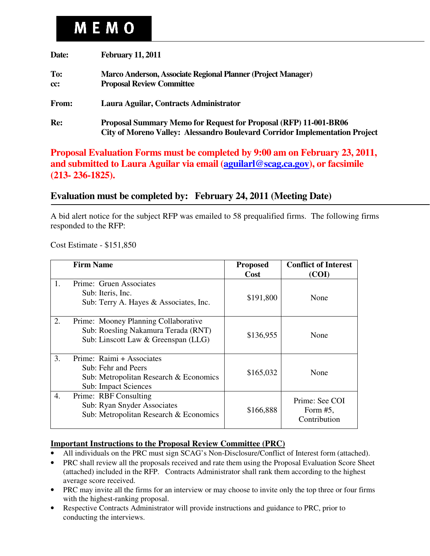# **MEMO**

| Date:      | <b>February 11, 2011</b>                                                                                                                               |
|------------|--------------------------------------------------------------------------------------------------------------------------------------------------------|
| To:<br>cc: | Marco Anderson, Associate Regional Planner (Project Manager)<br><b>Proposal Review Committee</b>                                                       |
| From:      | Laura Aguilar, Contracts Administrator                                                                                                                 |
| Re:        | <b>Proposal Summary Memo for Request for Proposal (RFP) 11-001-BR06</b><br>City of Moreno Valley: Alessandro Boulevard Corridor Implementation Project |

**Proposal Evaluation Forms must be completed by 9:00 am on February 23, 2011, and submitted to Laura Aguilar via email (aguilarl@scag.ca.gov), or facsimile (213- 236-1825).** 

## **Evaluation must be completed by: February 24, 2011 (Meeting Date)**

A bid alert notice for the subject RFP was emailed to 58 prequalified firms. The following firms responded to the RFP:

Cost Estimate - \$151,850

|    | <b>Firm Name</b>                                                                                                          | <b>Proposed</b><br><b>Cost</b> | <b>Conflict of Interest</b><br>(COI)          |
|----|---------------------------------------------------------------------------------------------------------------------------|--------------------------------|-----------------------------------------------|
|    | Prime: Gruen Associates<br>Sub: Iteris, Inc.<br>Sub: Terry A. Hayes & Associates, Inc.                                    | \$191,800                      | None                                          |
| 2. | Prime: Mooney Planning Collaborative<br>Sub: Roesling Nakamura Terada (RNT)<br>Sub: Linscott Law & Greenspan (LLG)        | \$136,955                      | None                                          |
| 3. | Prime: Raimi + Associates<br>Sub: Fehr and Peers<br>Sub: Metropolitan Research & Economics<br><b>Sub: Impact Sciences</b> | \$165,032                      | None                                          |
| 4. | Prime: RBF Consulting<br>Sub: Ryan Snyder Associates<br>Sub: Metropolitan Research & Economics                            | \$166,888                      | Prime: See COI<br>Form $#5$ ,<br>Contribution |

#### **Important Instructions to the Proposal Review Committee (PRC)**

- All individuals on the PRC must sign SCAG's Non-Disclosure/Conflict of Interest form (attached).
- PRC shall review all the proposals received and rate them using the Proposal Evaluation Score Sheet (attached) included in the RFP. Contracts Administrator shall rank them according to the highest average score received.
- PRC may invite all the firms for an interview or may choose to invite only the top three or four firms with the highest-ranking proposal.
- Respective Contracts Administrator will provide instructions and guidance to PRC, prior to conducting the interviews.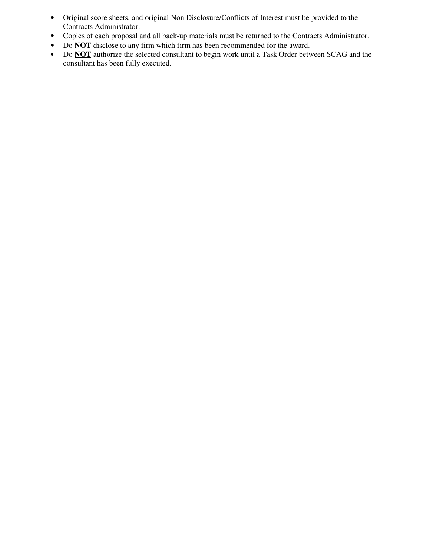- Original score sheets, and original Non Disclosure/Conflicts of Interest must be provided to the Contracts Administrator.
- Copies of each proposal and all back-up materials must be returned to the Contracts Administrator.
- Do **NOT** disclose to any firm which firm has been recommended for the award.
- Do **NOT** authorize the selected consultant to begin work until a Task Order between SCAG and the consultant has been fully executed.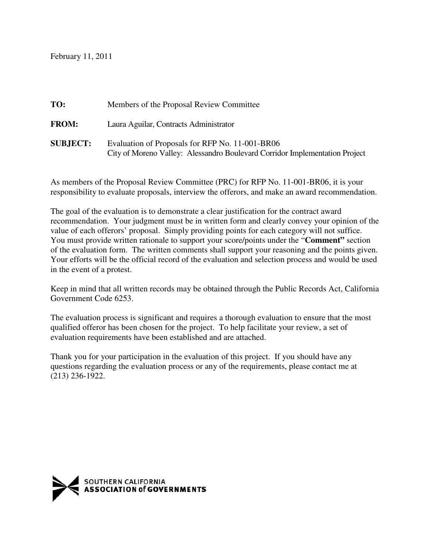February 11, 2011

| TO:             | Members of the Proposal Review Committee                                                                                       |  |  |
|-----------------|--------------------------------------------------------------------------------------------------------------------------------|--|--|
| <b>FROM:</b>    | Laura Aguilar, Contracts Administrator                                                                                         |  |  |
| <b>SUBJECT:</b> | Evaluation of Proposals for RFP No. 11-001-BR06<br>City of Moreno Valley: Alessandro Boulevard Corridor Implementation Project |  |  |

As members of the Proposal Review Committee (PRC) for RFP No. 11-001-BR06, it is your responsibility to evaluate proposals, interview the offerors, and make an award recommendation.

The goal of the evaluation is to demonstrate a clear justification for the contract award recommendation. Your judgment must be in written form and clearly convey your opinion of the value of each offerors' proposal. Simply providing points for each category will not suffice. You must provide written rationale to support your score/points under the "**Comment"** section of the evaluation form. The written comments shall support your reasoning and the points given. Your efforts will be the official record of the evaluation and selection process and would be used in the event of a protest.

Keep in mind that all written records may be obtained through the Public Records Act, California Government Code 6253.

The evaluation process is significant and requires a thorough evaluation to ensure that the most qualified offeror has been chosen for the project. To help facilitate your review, a set of evaluation requirements have been established and are attached.

Thank you for your participation in the evaluation of this project. If you should have any questions regarding the evaluation process or any of the requirements, please contact me at (213) 236-1922.

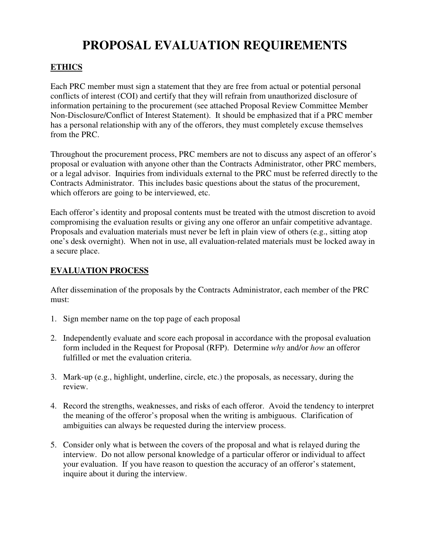## **PROPOSAL EVALUATION REQUIREMENTS**

## **ETHICS**

Each PRC member must sign a statement that they are free from actual or potential personal conflicts of interest (COI) and certify that they will refrain from unauthorized disclosure of information pertaining to the procurement (see attached Proposal Review Committee Member Non-Disclosure/Conflict of Interest Statement). It should be emphasized that if a PRC member has a personal relationship with any of the offerors, they must completely excuse themselves from the PRC.

Throughout the procurement process, PRC members are not to discuss any aspect of an offeror's proposal or evaluation with anyone other than the Contracts Administrator, other PRC members, or a legal advisor. Inquiries from individuals external to the PRC must be referred directly to the Contracts Administrator. This includes basic questions about the status of the procurement, which offerors are going to be interviewed, etc.

Each offeror's identity and proposal contents must be treated with the utmost discretion to avoid compromising the evaluation results or giving any one offeror an unfair competitive advantage. Proposals and evaluation materials must never be left in plain view of others (e.g., sitting atop one's desk overnight). When not in use, all evaluation-related materials must be locked away in a secure place.

## **EVALUATION PROCESS**

After dissemination of the proposals by the Contracts Administrator, each member of the PRC must:

- 1. Sign member name on the top page of each proposal
- 2. Independently evaluate and score each proposal in accordance with the proposal evaluation form included in the Request for Proposal (RFP). Determine *why* and/or *how* an offeror fulfilled or met the evaluation criteria.
- 3. Mark-up (e.g., highlight, underline, circle, etc.) the proposals, as necessary, during the review.
- 4. Record the strengths, weaknesses, and risks of each offeror. Avoid the tendency to interpret the meaning of the offeror's proposal when the writing is ambiguous. Clarification of ambiguities can always be requested during the interview process.
- 5. Consider only what is between the covers of the proposal and what is relayed during the interview. Do not allow personal knowledge of a particular offeror or individual to affect your evaluation. If you have reason to question the accuracy of an offeror's statement, inquire about it during the interview.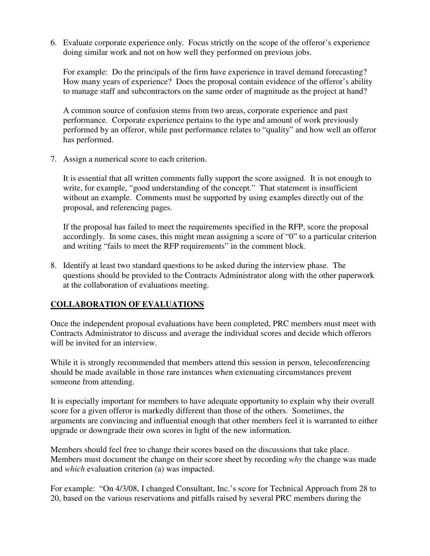6. Evaluate corporate experience only. Focus strictly on the scope of the offeror's experience doing similar work and not on how well they performed on previous jobs.

For example: Do the principals of the firm have experience in travel demand forecasting? How many years of experience? Does the proposal contain evidence of the offeror's ability to manage staff and subcontractors on the same order of magnitude as the project at hand?

A common source of confusion stems from two areas, corporate experience and past performance. Corporate experience pertains to the type and amount of work previously performed by an offeror, while past performance relates to "quality" and how well an offeror has performed.

7. Assign a numerical score to each criterion.

It is essential that all written comments fully support the score assigned. It is not enough to write, for example, "good understanding of the concept." That statement is insufficient without an example. Comments must be supported by using examples directly out of the proposal, and referencing pages.

If the proposal has failed to meet the requirements specified in the RFP, score the proposal accordingly. In some cases, this might mean assigning a score of "0" to a particular criterion and writing "fails to meet the RFP requirements" in the comment block.

8. Identify at least two standard questions to be asked during the interview phase. The questions should be provided to the Contracts Administrator along with the other paperwork at the collaboration of evaluations meeting.

## **COLLABORATION OF EVALUATIONS**

Once the independent proposal evaluations have been completed, PRC members must meet with Contracts Administrator to discuss and average the individual scores and decide which offerors will be invited for an interview.

While it is strongly recommended that members attend this session in person, teleconferencing should be made available in those rare instances when extenuating circumstances prevent someone from attending.

It is especially important for members to have adequate opportunity to explain why their overall score for a given offeror is markedly different than those of the others. Sometimes, the arguments are convincing and influential enough that other members feel it is warranted to either upgrade or downgrade their own scores in light of the new information.

Members should feel free to change their scores based on the discussions that take place. Members must document the change on their score sheet by recording *why* the change was made and *which* evaluation criterion (a) was impacted.

For example: "On 4/3/08, I changed Consultant, Inc.'s score for Technical Approach from 28 to 20, based on the various reservations and pitfalls raised by several PRC members during the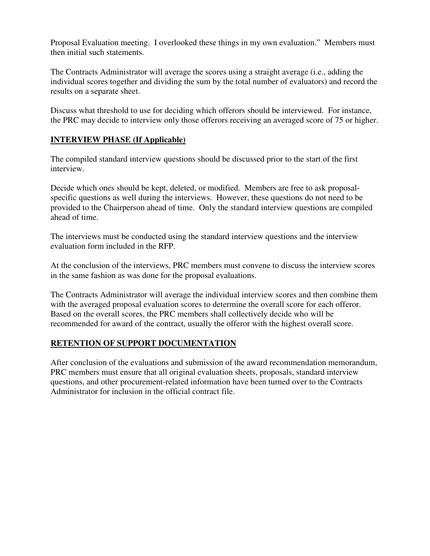Proposal Evaluation meeting. I overlooked these things in my own evaluation." Members must then initial such statements.

The Contracts Administrator will average the scores using a straight average (i.e., adding the individual scores together and dividing the sum by the total number of evaluators) and record the results on a separate sheet.

Discuss what threshold to use for deciding which offerors should be interviewed. For instance, the PRC may decide to interview only those offerors receiving an averaged score of 75 or higher.

## **INTERVIEW PHASE (If Applicable)**

The compiled standard interview questions should be discussed prior to the start of the first interview.

Decide which ones should be kept, deleted, or modified. Members are free to ask proposalspecific questions as well during the interviews. However, these questions do not need to be provided to the Chairperson ahead of time. Only the standard interview questions are compiled ahead of time.

The interviews must be conducted using the standard interview questions and the interview evaluation form included in the RFP.

At the conclusion of the interviews, PRC members must convene to discuss the interview scores in the same fashion as was done for the proposal evaluations.

The Contracts Administrator will average the individual interview scores and then combine them with the averaged proposal evaluation scores to determine the overall score for each offeror. Based on the overall scores, the PRC members shall collectively decide who will be recommended for award of the contract, usually the offeror with the highest overall score.

## **RETENTION OF SUPPORT DOCUMENTATION**

After conclusion of the evaluations and submission of the award recommendation memorandum, PRC members must ensure that all original evaluation sheets, proposals, standard interview questions, and other procurement-related information have been turned over to the Contracts Administrator for inclusion in the official contract file.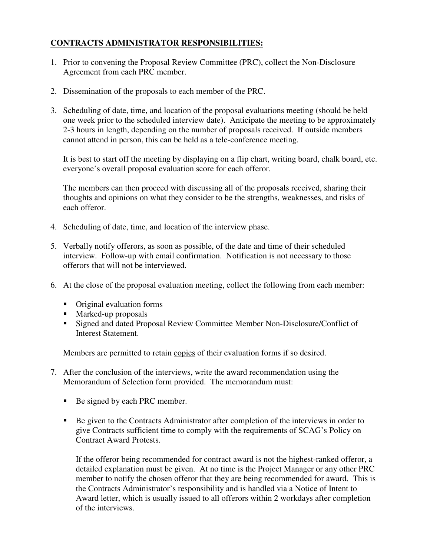## **CONTRACTS ADMINISTRATOR RESPONSIBILITIES:**

- 1. Prior to convening the Proposal Review Committee (PRC), collect the Non-Disclosure Agreement from each PRC member.
- 2. Dissemination of the proposals to each member of the PRC.
- 3. Scheduling of date, time, and location of the proposal evaluations meeting (should be held one week prior to the scheduled interview date). Anticipate the meeting to be approximately 2-3 hours in length, depending on the number of proposals received. If outside members cannot attend in person, this can be held as a tele-conference meeting.

It is best to start off the meeting by displaying on a flip chart, writing board, chalk board, etc. everyone's overall proposal evaluation score for each offeror.

The members can then proceed with discussing all of the proposals received, sharing their thoughts and opinions on what they consider to be the strengths, weaknesses, and risks of each offeror.

- 4. Scheduling of date, time, and location of the interview phase.
- 5. Verbally notify offerors, as soon as possible, of the date and time of their scheduled interview. Follow-up with email confirmation. Notification is not necessary to those offerors that will not be interviewed.
- 6. At the close of the proposal evaluation meeting, collect the following from each member:
	- Original evaluation forms
	- **Marked-up proposals**
	- Signed and dated Proposal Review Committee Member Non-Disclosure/Conflict of Interest Statement.

Members are permitted to retain copies of their evaluation forms if so desired.

- 7. After the conclusion of the interviews, write the award recommendation using the Memorandum of Selection form provided. The memorandum must:
	- Be signed by each PRC member.
	- Be given to the Contracts Administrator after completion of the interviews in order to give Contracts sufficient time to comply with the requirements of SCAG's Policy on Contract Award Protests.

If the offeror being recommended for contract award is not the highest-ranked offeror, a detailed explanation must be given. At no time is the Project Manager or any other PRC member to notify the chosen offeror that they are being recommended for award. This is the Contracts Administrator's responsibility and is handled via a Notice of Intent to Award letter, which is usually issued to all offerors within 2 workdays after completion of the interviews.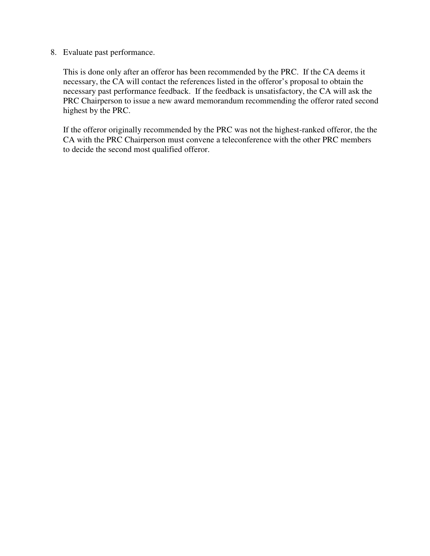8. Evaluate past performance.

This is done only after an offeror has been recommended by the PRC. If the CA deems it necessary, the CA will contact the references listed in the offeror's proposal to obtain the necessary past performance feedback. If the feedback is unsatisfactory, the CA will ask the PRC Chairperson to issue a new award memorandum recommending the offeror rated second highest by the PRC.

If the offeror originally recommended by the PRC was not the highest-ranked offeror, the the CA with the PRC Chairperson must convene a teleconference with the other PRC members to decide the second most qualified offeror.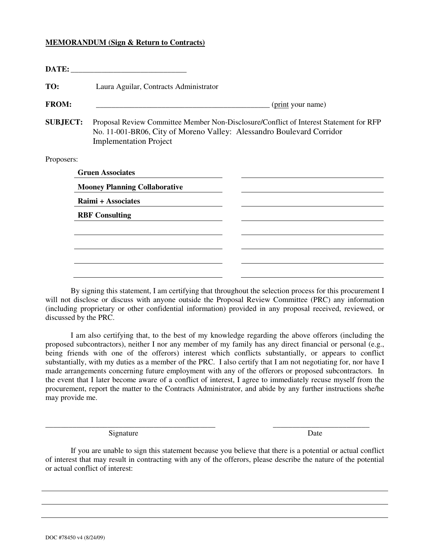#### **MEMORANDUM (Sign & Return to Contracts)**

|                                               | DATE:                                                                                                                                                                                            |                   |  |  |
|-----------------------------------------------|--------------------------------------------------------------------------------------------------------------------------------------------------------------------------------------------------|-------------------|--|--|
| TO:<br>Laura Aguilar, Contracts Administrator |                                                                                                                                                                                                  |                   |  |  |
| <b>FROM:</b>                                  |                                                                                                                                                                                                  | (print your name) |  |  |
| <b>SUBJECT:</b>                               | Proposal Review Committee Member Non-Disclosure/Conflict of Interest Statement for RFP<br>No. 11-001-BR06, City of Moreno Valley: Alessandro Boulevard Corridor<br><b>Implementation Project</b> |                   |  |  |
| Proposers:                                    |                                                                                                                                                                                                  |                   |  |  |
|                                               | <b>Gruen Associates</b>                                                                                                                                                                          |                   |  |  |
|                                               | <b>Mooney Planning Collaborative</b>                                                                                                                                                             |                   |  |  |
|                                               | Raimi + Associates                                                                                                                                                                               |                   |  |  |
|                                               | <b>RBF</b> Consulting                                                                                                                                                                            |                   |  |  |
|                                               |                                                                                                                                                                                                  |                   |  |  |
|                                               |                                                                                                                                                                                                  |                   |  |  |
|                                               |                                                                                                                                                                                                  |                   |  |  |
|                                               |                                                                                                                                                                                                  |                   |  |  |

 By signing this statement, I am certifying that throughout the selection process for this procurement I will not disclose or discuss with anyone outside the Proposal Review Committee (PRC) any information (including proprietary or other confidential information) provided in any proposal received, reviewed, or discussed by the PRC.

 I am also certifying that, to the best of my knowledge regarding the above offerors (including the proposed subcontractors), neither I nor any member of my family has any direct financial or personal (e.g., being friends with one of the offerors) interest which conflicts substantially, or appears to conflict substantially, with my duties as a member of the PRC. I also certify that I am not negotiating for, nor have I made arrangements concerning future employment with any of the offerors or proposed subcontractors. In the event that I later become aware of a conflict of interest, I agree to immediately recuse myself from the procurement, report the matter to the Contracts Administrator, and abide by any further instructions she/he may provide me.

Signature Date

 If you are unable to sign this statement because you believe that there is a potential or actual conflict of interest that may result in contracting with any of the offerors, please describe the nature of the potential or actual conflict of interest:

**\_\_\_\_\_\_\_\_\_\_\_\_\_\_\_\_\_\_\_\_\_\_\_\_\_\_\_\_\_\_\_\_\_\_\_\_\_\_\_\_\_\_\_\_ \_\_\_\_\_\_\_\_\_\_\_\_\_\_\_\_\_\_\_\_\_\_\_\_\_**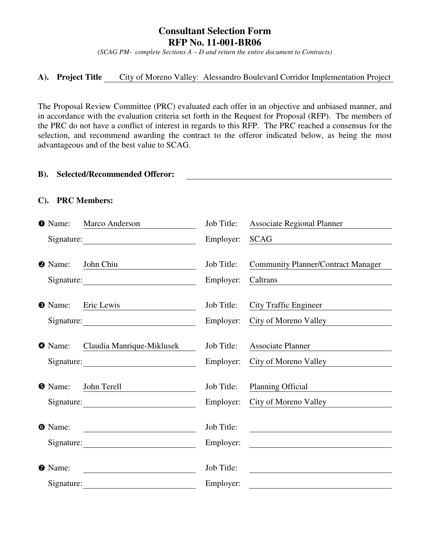## **Consultant Selection Form RFP No. 11-001-BR06**

*(SCAG PM- complete Sections A – D and return the entire document to Contracts)* 

#### **A). Project Title** City of Moreno Valley: Alessandro Boulevard Corridor Implementation Project

The Proposal Review Committee (PRC) evaluated each offer in an objective and unbiased manner, and in accordance with the evaluation criteria set forth in the Request for Proposal (RFP). The members of the PRC do not have a conflict of interest in regards to this RFP. The PRC reached a consensus for the selection, and recommend awarding the contract to the offeror indicated below, as being the most advantageous and of the best value to SCAG.

#### **B). Selected/Recommended Offeror:**

#### **C). PRC Members:**

| <b>O</b> Name:               | Marco Anderson            | Job Title:              | <b>Associate Regional Planner</b>                                                                                     |
|------------------------------|---------------------------|-------------------------|-----------------------------------------------------------------------------------------------------------------------|
|                              |                           | Employer:               | <b>SCAG</b>                                                                                                           |
| <b>2</b> Name:               | John Chiu<br>Signature:   | Job Title:<br>Employer: | <b>Community Planner/Contract Manager</b><br>Caltrans                                                                 |
| <b>8</b> Name:               | Eric Lewis                | Job Title:<br>Employer: | <b>City Traffic Engineer</b><br>City of Moreno Valley                                                                 |
| <b>4</b> Name:               | Claudia Manrique-Miklusek | Job Title:<br>Employer: | <b>Associate Planner</b><br>City of Moreno Valley                                                                     |
| <b>O</b> Name:               | John Terell<br>Signature: | Job Title:<br>Employer: | <b>Planning Official</b><br>City of Moreno Valley                                                                     |
| <b>O</b> Name:               |                           | Job Title:<br>Employer: | <u> 1986 - Johann Stein, fransk politik (</u>                                                                         |
| <b>O</b> Name:<br>Signature: |                           | Job Title:<br>Employer: | <u> 1989 - Johann Harry Harry Harry Harry Harry Harry Harry Harry Harry Harry Harry Harry Harry Harry Harry Harry</u> |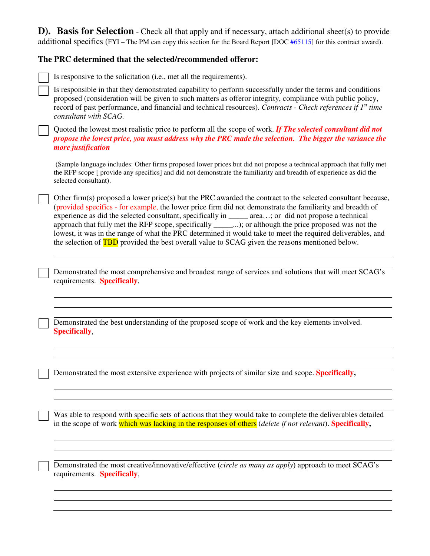**D). Basis for Selection** - Check all that apply and if necessary, attach additional sheet(s) to provide additional specifics (FYI – The PM can copy this section for the Board Report [DOC #65115] for this contract award).

## **The PRC determined that the selected/recommended offeror:**

| Is responsive to the solicitation (i.e., met all the requirements).                                                                                                                                                                                                                                                                                                                                                                                                                                                                                                                                                                                                     |
|-------------------------------------------------------------------------------------------------------------------------------------------------------------------------------------------------------------------------------------------------------------------------------------------------------------------------------------------------------------------------------------------------------------------------------------------------------------------------------------------------------------------------------------------------------------------------------------------------------------------------------------------------------------------------|
| Is responsible in that they demonstrated capability to perform successfully under the terms and conditions<br>proposed (consideration will be given to such matters as offeror integrity, compliance with public policy,<br>record of past performance, and financial and technical resources). Contracts - Check references if 1 <sup>st</sup> time<br>consultant with SCAG.                                                                                                                                                                                                                                                                                           |
| Quoted the lowest most realistic price to perform all the scope of work. If The selected consultant did not<br>propose the lowest price, you must address why the PRC made the selection. The bigger the variance the<br>more justification                                                                                                                                                                                                                                                                                                                                                                                                                             |
| (Sample language includes: Other firms proposed lower prices but did not propose a technical approach that fully met<br>the RFP scope [ provide any specifics] and did not demonstrate the familiarity and breadth of experience as did the<br>selected consultant).                                                                                                                                                                                                                                                                                                                                                                                                    |
| Other firm(s) proposed a lower price(s) but the PRC awarded the contract to the selected consultant because,<br>(provided specifics - for example, the lower price firm did not demonstrate the familiarity and breadth of<br>experience as did the selected consultant, specifically in _____ area; or did not propose a technical<br>approach that fully met the RFP scope, specifically ______); or although the price proposed was not the<br>lowest, it was in the range of what the PRC determined it would take to meet the required deliverables, and<br>the selection of <b>TBD</b> provided the best overall value to SCAG given the reasons mentioned below. |
| Demonstrated the most comprehensive and broadest range of services and solutions that will meet SCAG's<br>requirements. Specifically,                                                                                                                                                                                                                                                                                                                                                                                                                                                                                                                                   |
| Demonstrated the best understanding of the proposed scope of work and the key elements involved.<br>Specifically,                                                                                                                                                                                                                                                                                                                                                                                                                                                                                                                                                       |
| Demonstrated the most extensive experience with projects of similar size and scope. Specifically,                                                                                                                                                                                                                                                                                                                                                                                                                                                                                                                                                                       |
| Was able to respond with specific sets of actions that they would take to complete the deliverables detailed<br>in the scope of work which was lacking in the responses of others (delete if not relevant). Specifically,                                                                                                                                                                                                                                                                                                                                                                                                                                               |
| Demonstrated the most creative/innovative/effective (circle as many as apply) approach to meet SCAG's<br>requirements. Specifically,                                                                                                                                                                                                                                                                                                                                                                                                                                                                                                                                    |
|                                                                                                                                                                                                                                                                                                                                                                                                                                                                                                                                                                                                                                                                         |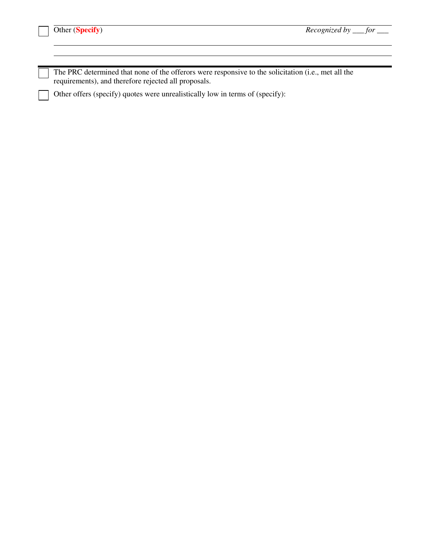| The PRC determined that none of the offerors were responsive to the solicitation (i.e., met all the |
|-----------------------------------------------------------------------------------------------------|
| requirements), and therefore rejected all proposals.                                                |

Other offers (specify) quotes were unrealistically low in terms of (specify):

<u> 1980 - Johann Barn, amerikan besteman besteman besteman besteman besteman besteman besteman besteman bestema</u>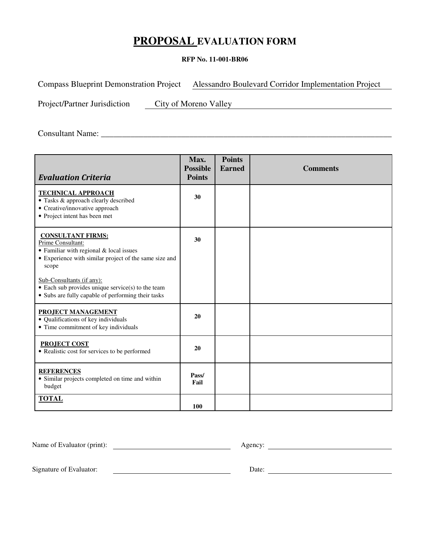## **PROPOSAL EVALUATION FORM**

#### **RFP No. 11-001-BR06**

Compass Blueprint Demonstration Project Alessandro Boulevard Corridor Implementation Project

Project/Partner Jurisdiction City of Moreno Valley

Consultant Name: \_\_\_\_\_\_\_\_\_\_\_\_\_\_\_\_\_\_\_\_\_\_\_\_\_\_\_\_\_\_\_\_\_\_\_\_\_\_\_\_\_\_\_\_\_\_\_\_\_\_\_\_\_\_\_\_\_\_\_\_\_\_\_\_\_\_\_\_\_

| <b>Evaluation Criteria</b>                                                                                                                                                                                                                                                                                  | Max.<br><b>Possible</b><br><b>Points</b> | <b>Points</b><br><b>Earned</b> | <b>Comments</b> |
|-------------------------------------------------------------------------------------------------------------------------------------------------------------------------------------------------------------------------------------------------------------------------------------------------------------|------------------------------------------|--------------------------------|-----------------|
| <b>TECHNICAL APPROACH</b><br>• Tasks & approach clearly described<br>• Creative/innovative approach<br>• Project intent has been met                                                                                                                                                                        | 30                                       |                                |                 |
| <b>CONSULTANT FIRMS:</b><br>Prime Consultant:<br>• Familiar with regional & local issues<br>• Experience with similar project of the same size and<br>scope<br>Sub-Consultants (if any):<br>$\bullet$ Each sub provides unique service(s) to the team<br>• Subs are fully capable of performing their tasks | 30                                       |                                |                 |
| <b>PROJECT MANAGEMENT</b><br>• Qualifications of key individuals<br>• Time commitment of key individuals                                                                                                                                                                                                    | 20                                       |                                |                 |
| <b>PROJECT COST</b><br>• Realistic cost for services to be performed                                                                                                                                                                                                                                        | 20                                       |                                |                 |
| <b>REFERENCES</b><br>• Similar projects completed on time and within<br>budget                                                                                                                                                                                                                              | Pass/<br>Fail                            |                                |                 |
| <b>TOTAL</b>                                                                                                                                                                                                                                                                                                | 100                                      |                                |                 |

Name of Evaluator (print): Agency: Agency:

Signature of Evaluator: Date: